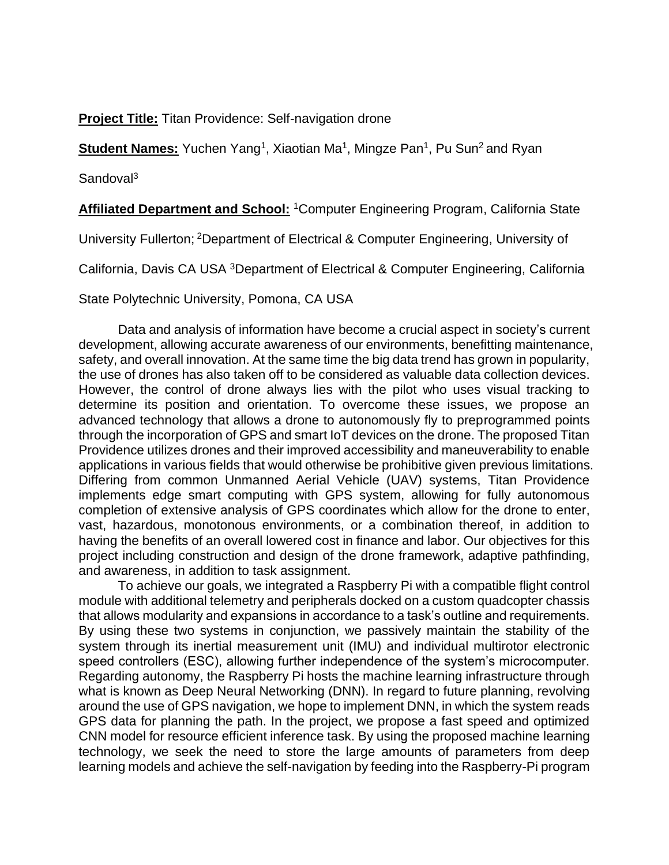**Project Title:** Titan Providence: Self-navigation drone

Student Names: Yuchen Yang<sup>1</sup>, Xiaotian Ma<sup>1</sup>, Mingze Pan<sup>1</sup>, Pu Sun<sup>2</sup> and Ryan

Sandoval<sup>3</sup>

**Affiliated Department and School:** <sup>1</sup>Computer Engineering Program, California State

University Fullerton; <sup>2</sup>Department of Electrical & Computer Engineering, University of

California, Davis CA USA <sup>3</sup>Department of Electrical & Computer Engineering, California

State Polytechnic University, Pomona, CA USA

Data and analysis of information have become a crucial aspect in society's current development, allowing accurate awareness of our environments, benefitting maintenance, safety, and overall innovation. At the same time the big data trend has grown in popularity, the use of drones has also taken off to be considered as valuable data collection devices. However, the control of drone always lies with the pilot who uses visual tracking to determine its position and orientation. To overcome these issues, we propose an advanced technology that allows a drone to autonomously fly to preprogrammed points through the incorporation of GPS and smart IoT devices on the drone. The proposed Titan Providence utilizes drones and their improved accessibility and maneuverability to enable applications in various fields that would otherwise be prohibitive given previous limitations. Differing from common Unmanned Aerial Vehicle (UAV) systems, Titan Providence implements edge smart computing with GPS system, allowing for fully autonomous completion of extensive analysis of GPS coordinates which allow for the drone to enter, vast, hazardous, monotonous environments, or a combination thereof, in addition to having the benefits of an overall lowered cost in finance and labor. Our objectives for this project including construction and design of the drone framework, adaptive pathfinding, and awareness, in addition to task assignment.

To achieve our goals, we integrated a Raspberry Pi with a compatible flight control module with additional telemetry and peripherals docked on a custom quadcopter chassis that allows modularity and expansions in accordance to a task's outline and requirements. By using these two systems in conjunction, we passively maintain the stability of the system through its inertial measurement unit (IMU) and individual multirotor electronic speed controllers (ESC), allowing further independence of the system's microcomputer. Regarding autonomy, the Raspberry Pi hosts the machine learning infrastructure through what is known as Deep Neural Networking (DNN). In regard to future planning, revolving around the use of GPS navigation, we hope to implement DNN, in which the system reads GPS data for planning the path. In the project, we propose a fast speed and optimized CNN model for resource efficient inference task. By using the proposed machine learning technology, we seek the need to store the large amounts of parameters from deep learning models and achieve the self-navigation by feeding into the Raspberry-Pi program